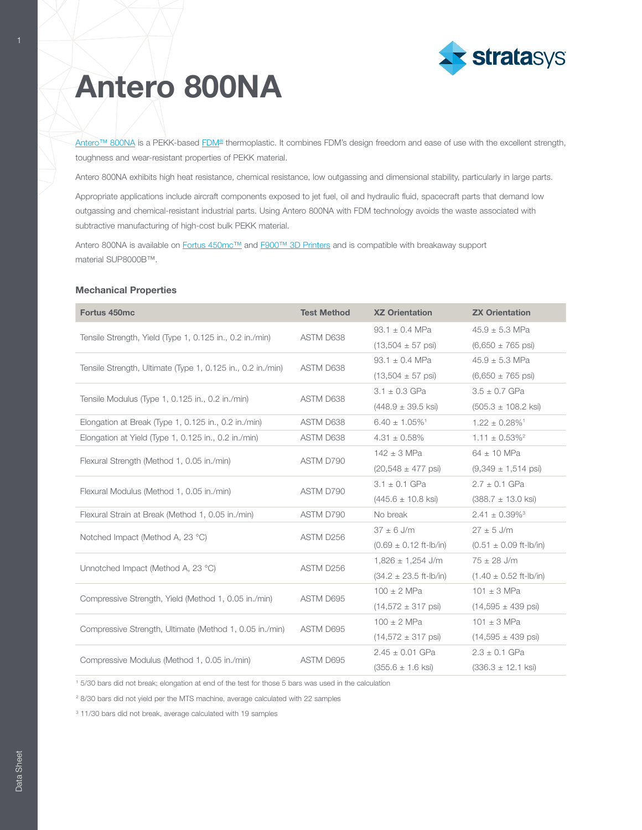

[Antero™ 800NA](http://www.stratasys.com/materials/search/antero-800na?utm_source=material-data-sheet&utm_medium=pdf&utm_content=antero-mds-link-1-antero) is a PEKK-based [FDM](http://www.stratasys.com/fdm-technology?utm_source=material-data-sheet&utm_medium=pdf&utm_content=antero-mds-link-2-FDM)<sup>®</sup> thermoplastic. It combines FDM's design freedom and ease of use with the excellent strength, toughness and wear-resistant properties of PEKK material.

Antero 800NA exhibits high heat resistance, chemical resistance, low outgassing and dimensional stability, particularly in large parts.

Appropriate applications include aircraft components exposed to jet fuel, oil and hydraulic fluid, spacecraft parts that demand low outgassing and chemical-resistant industrial parts. Using Antero 800NA with FDM technology avoids the waste associated with subtractive manufacturing of high-cost bulk PEKK material.

Antero 800NA is available on [Fortus 450mc™](http://www.stratasys.com/3d-printers/fortus-380mc-450mc?utm_source=material-data-sheet&utm_medium=pdf&utm_content=antero-mds-link-3-fortus-450) and [F900™ 3D Printers](http://www.stratasys.com/3d-printers/stratasys-f900?utm_source=material-data-sheet&utm_medium=pdf&utm_content=antero-mds-link-4-f900) and is compatible with breakaway support material SUP8000B™.

### Mechanical Properties

| Fortus 450mc                                                | <b>Test Method</b>                                                                                   | <b>XZ Orientation</b>                                                                                                                                                                                                                                                                                                                                                                                                                                                                                                                                                                                                                                                                                                                                                                           | <b>ZX Orientation</b>           |
|-------------------------------------------------------------|------------------------------------------------------------------------------------------------------|-------------------------------------------------------------------------------------------------------------------------------------------------------------------------------------------------------------------------------------------------------------------------------------------------------------------------------------------------------------------------------------------------------------------------------------------------------------------------------------------------------------------------------------------------------------------------------------------------------------------------------------------------------------------------------------------------------------------------------------------------------------------------------------------------|---------------------------------|
|                                                             |                                                                                                      | $93.1 \pm 0.4$ MPa                                                                                                                                                                                                                                                                                                                                                                                                                                                                                                                                                                                                                                                                                                                                                                              | $45.9 \pm 5.3$ MPa              |
| Tensile Strength, Yield (Type 1, 0.125 in., 0.2 in./min)    | ASTM D638<br>ASTM D638<br>ASTM D638                                                                  | $(13,504 \pm 57 \text{ psi})$                                                                                                                                                                                                                                                                                                                                                                                                                                                                                                                                                                                                                                                                                                                                                                   | $(6,650 \pm 765 \text{ psi})$   |
|                                                             |                                                                                                      | 93.1 $\pm$ 0.4 MPa                                                                                                                                                                                                                                                                                                                                                                                                                                                                                                                                                                                                                                                                                                                                                                              | $45.9 \pm 5.3$ MPa              |
| Tensile Strength, Ultimate (Type 1, 0.125 in., 0.2 in./min) |                                                                                                      | $(13,504 \pm 57 \text{ psi})$                                                                                                                                                                                                                                                                                                                                                                                                                                                                                                                                                                                                                                                                                                                                                                   | $(6,650 \pm 765 \text{ psi})$   |
|                                                             |                                                                                                      | $3.1 \pm 0.3$ GPa                                                                                                                                                                                                                                                                                                                                                                                                                                                                                                                                                                                                                                                                                                                                                                               | $3.5 \pm 0.7$ GPa               |
| Tensile Modulus (Type 1, 0.125 in., 0.2 in./min)            |                                                                                                      | $(448.9 \pm 39.5 \text{ ksi})$                                                                                                                                                                                                                                                                                                                                                                                                                                                                                                                                                                                                                                                                                                                                                                  | $(505.3 \pm 108.2 \text{ ksi})$ |
| Elongation at Break (Type 1, 0.125 in., 0.2 in./min)        |                                                                                                      | $6.40 \pm 1.05\%$ <sup>1</sup>                                                                                                                                                                                                                                                                                                                                                                                                                                                                                                                                                                                                                                                                                                                                                                  | $1.22 \pm 0.28\%$ <sup>1</sup>  |
| Elongation at Yield (Type 1, 0.125 in., 0.2 in./min)        | ASTM D638                                                                                            | $4.31 \pm 0.58\%$                                                                                                                                                                                                                                                                                                                                                                                                                                                                                                                                                                                                                                                                                                                                                                               | $1.11 \pm 0.53\%^2$             |
|                                                             |                                                                                                      | $142 \pm 3$ MPa                                                                                                                                                                                                                                                                                                                                                                                                                                                                                                                                                                                                                                                                                                                                                                                 | $64 \pm 10$ MPa                 |
| Flexural Strength (Method 1, 0.05 in./min)                  |                                                                                                      | $(20,548 \pm 477 \text{ psi})$<br>$(9,349 \pm 1,514 \text{ psi})$<br>$3.1 \pm 0.1$ GPa<br>$2.7 \pm 0.1$ GPa<br>$(445.6 \pm 10.8 \text{ ks})$<br>$(388.7 \pm 13.0 \text{ ksi})$<br>No break<br>$2.41 \pm 0.39\%$ <sup>3</sup><br>$37 \pm 6$ J/m<br>$27 \pm 5$ J/m<br>$(0.69 \pm 0.12 \text{ ft-lb/in})$<br>$(0.51 \pm 0.09 \text{ ft-lb/in})$<br>$75 \pm 28$ J/m<br>$1,826 \pm 1,254$ J/m<br>$(34.2 \pm 23.5 \text{ ft-lb/in})$<br>$(1.40 \pm 0.52 \text{ ft-lb/in})$<br>$100 \pm 2$ MPa<br>$101 \pm 3$ MPa<br>$(14,572 \pm 317 \text{ psi})$<br>$(14,595 \pm 439 \text{ psi})$<br>$100 \pm 2$ MPa<br>$101 \pm 3$ MPa<br>$(14,572 \pm 317 \text{ psi})$<br>$(14,595 \pm 439 \text{ psi})$<br>$2.45 \pm 0.01$ GPa<br>$2.3 \pm 0.1$ GPa<br>$(355.6 \pm 1.6$ ksi)<br>$(336.3 \pm 12.1 \text{ ksi})$ |                                 |
|                                                             |                                                                                                      |                                                                                                                                                                                                                                                                                                                                                                                                                                                                                                                                                                                                                                                                                                                                                                                                 |                                 |
| Flexural Modulus (Method 1, 0.05 in./min)                   |                                                                                                      |                                                                                                                                                                                                                                                                                                                                                                                                                                                                                                                                                                                                                                                                                                                                                                                                 |                                 |
| Flexural Strain at Break (Method 1, 0.05 in./min)           | ASTM D790                                                                                            |                                                                                                                                                                                                                                                                                                                                                                                                                                                                                                                                                                                                                                                                                                                                                                                                 |                                 |
|                                                             |                                                                                                      |                                                                                                                                                                                                                                                                                                                                                                                                                                                                                                                                                                                                                                                                                                                                                                                                 |                                 |
| Notched Impact (Method A, 23 °C)                            | ASTM D638<br>ASTM D790<br>ASTM D790<br>ASTM D256<br>ASTM D256<br>ASTM D695<br>ASTM D695<br>ASTM D695 |                                                                                                                                                                                                                                                                                                                                                                                                                                                                                                                                                                                                                                                                                                                                                                                                 |                                 |
| Unnotched Impact (Method A, 23 °C)                          |                                                                                                      |                                                                                                                                                                                                                                                                                                                                                                                                                                                                                                                                                                                                                                                                                                                                                                                                 |                                 |
|                                                             |                                                                                                      |                                                                                                                                                                                                                                                                                                                                                                                                                                                                                                                                                                                                                                                                                                                                                                                                 |                                 |
|                                                             |                                                                                                      |                                                                                                                                                                                                                                                                                                                                                                                                                                                                                                                                                                                                                                                                                                                                                                                                 |                                 |
| Compressive Strength, Yield (Method 1, 0.05 in./min)        |                                                                                                      |                                                                                                                                                                                                                                                                                                                                                                                                                                                                                                                                                                                                                                                                                                                                                                                                 |                                 |
|                                                             |                                                                                                      |                                                                                                                                                                                                                                                                                                                                                                                                                                                                                                                                                                                                                                                                                                                                                                                                 |                                 |
| Compressive Strength, Ultimate (Method 1, 0.05 in./min)     |                                                                                                      |                                                                                                                                                                                                                                                                                                                                                                                                                                                                                                                                                                                                                                                                                                                                                                                                 |                                 |
|                                                             |                                                                                                      |                                                                                                                                                                                                                                                                                                                                                                                                                                                                                                                                                                                                                                                                                                                                                                                                 |                                 |
| Compressive Modulus (Method 1, 0.05 in./min)                |                                                                                                      |                                                                                                                                                                                                                                                                                                                                                                                                                                                                                                                                                                                                                                                                                                                                                                                                 |                                 |

1 5/30 bars did not break; elongation at end of the test for those 5 bars was used in the calculation

2 8/30 bars did not yield per the MTS machine, average calculated with 22 samples

3 11/30 bars did not break, average calculated with 19 samples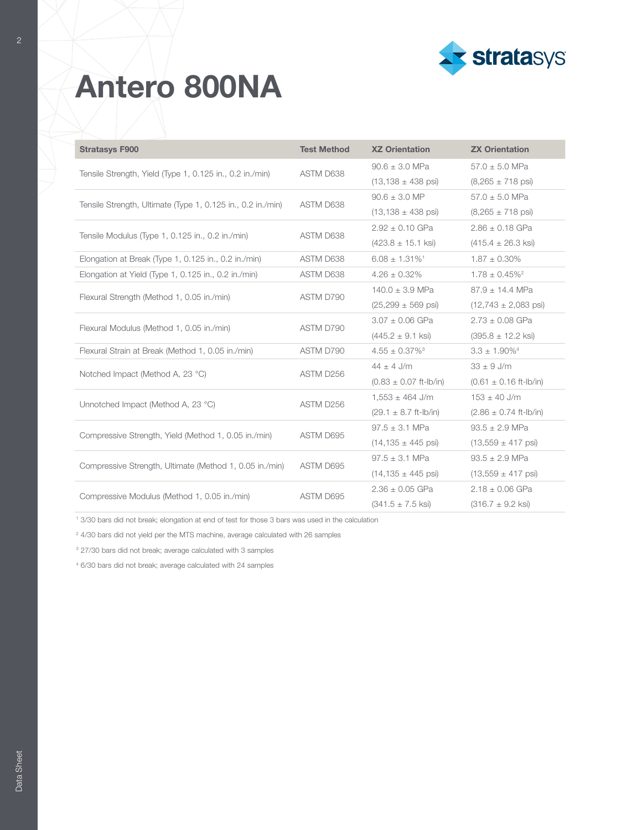

| <b>Stratasys F900</b>                                       | <b>Test Method</b>                                                                                                                                                                                                                                                                                                            | <b>XZ Orientation</b>                                                        | <b>ZX Orientation</b>              |
|-------------------------------------------------------------|-------------------------------------------------------------------------------------------------------------------------------------------------------------------------------------------------------------------------------------------------------------------------------------------------------------------------------|------------------------------------------------------------------------------|------------------------------------|
| Tensile Strength, Yield (Type 1, 0.125 in., 0.2 in./min)    | ASTM D638                                                                                                                                                                                                                                                                                                                     | $90.6 \pm 3.0$ MPa                                                           | $57.0 \pm 5.0$ MPa                 |
|                                                             |                                                                                                                                                                                                                                                                                                                               | $(13, 138 \pm 438 \text{ psi})$                                              | $(8,265 \pm 718 \text{ psi})$      |
| Tensile Strength, Ultimate (Type 1, 0.125 in., 0.2 in./min) | ASTM D638                                                                                                                                                                                                                                                                                                                     | $90.6 \pm 3.0$ MP                                                            | $57.0 \pm 5.0$ MPa                 |
|                                                             |                                                                                                                                                                                                                                                                                                                               | $(13, 138 \pm 438 \text{ psi})$                                              | $(8,265 \pm 718 \text{ psi})$      |
| Tensile Modulus (Type 1, 0.125 in., 0.2 in./min)            | ASTM D638                                                                                                                                                                                                                                                                                                                     | $2.92 \pm 0.10$ GPa                                                          | $2.86 \pm 0.18$ GPa                |
|                                                             |                                                                                                                                                                                                                                                                                                                               | $(423.8 \pm 15.1 \text{ ksi})$                                               | $(415.4 \pm 26.3 \text{ ksi})$     |
| Elongation at Break (Type 1, 0.125 in., 0.2 in./min)        | ASTM D638                                                                                                                                                                                                                                                                                                                     | $6.08 \pm 1.31\%$ <sup>1</sup>                                               | $1.87 \pm 0.30\%$                  |
| Elongation at Yield (Type 1, 0.125 in., 0.2 in./min)        | ASTM D638                                                                                                                                                                                                                                                                                                                     | $4.26 \pm 0.32\%$                                                            | $1.78 \pm 0.45\%^2$                |
| Flexural Strength (Method 1, 0.05 in./min)                  |                                                                                                                                                                                                                                                                                                                               | $140.0 \pm 3.9$ MPa                                                          | $87.9 \pm 14.4$ MPa                |
|                                                             |                                                                                                                                                                                                                                                                                                                               | $(25,299 \pm 569 \text{ psi})$<br>$3.07 \pm 0.06$ GPa<br>$2.73 \pm 0.08$ GPa | $(12,743 \pm 2,083 \text{ psi})$   |
| Flexural Modulus (Method 1, 0.05 in./min)                   |                                                                                                                                                                                                                                                                                                                               |                                                                              |                                    |
|                                                             |                                                                                                                                                                                                                                                                                                                               | $(445.2 \pm 9.1 \text{ ks})$<br>$(395.8 \pm 12.2 \text{ ksi})$               |                                    |
| Flexural Strain at Break (Method 1, 0.05 in./min)           | ASTM D790                                                                                                                                                                                                                                                                                                                     | $4.55 \pm 0.37\%$ <sup>3</sup>                                               | $3.3 \pm 1.90\%$ <sup>4</sup>      |
| Notched Impact (Method A, 23 °C)                            |                                                                                                                                                                                                                                                                                                                               | $44 \pm 4$ J/m                                                               | $33 \pm 9$ J/m                     |
|                                                             |                                                                                                                                                                                                                                                                                                                               | $(0.83 \pm 0.07$ ft-lb/in)                                                   | $(0.61 \pm 0.16 \text{ ft-lb/in})$ |
| Unnotched Impact (Method A, 23 °C)                          | ASTM D790<br>ASTM D790<br>ASTM D256<br>$1,553 \pm 464$ J/m<br>ASTM D256<br>$(29.1 \pm 8.7 \text{ ft-lb/in})$<br>$97.5 \pm 3.1$ MPa<br>ASTM D695<br>$(14, 135 \pm 445 \text{ psi})$<br>$97.5 \pm 3.1$ MPa<br>ASTM D695<br>$(14, 135 \pm 445 \text{ psi})$<br>$2.36 \pm 0.05$ GPa<br>ASTM D695<br>$(341.5 \pm 7.5 \text{ ksi})$ |                                                                              | $153 \pm 40$ J/m                   |
|                                                             |                                                                                                                                                                                                                                                                                                                               | $(2.86 \pm 0.74 \text{ ft-lb/in})$                                           |                                    |
| Compressive Strength, Yield (Method 1, 0.05 in./min)        |                                                                                                                                                                                                                                                                                                                               |                                                                              | $93.5 \pm 2.9$ MPa                 |
|                                                             |                                                                                                                                                                                                                                                                                                                               |                                                                              | $(13,559 \pm 417 \text{ psi})$     |
|                                                             |                                                                                                                                                                                                                                                                                                                               |                                                                              | $93.5 \pm 2.9$ MPa                 |
| Compressive Strength, Ultimate (Method 1, 0.05 in./min)     |                                                                                                                                                                                                                                                                                                                               |                                                                              | $(13,559 \pm 417 \text{ psi})$     |
| Compressive Modulus (Method 1, 0.05 in./min)                |                                                                                                                                                                                                                                                                                                                               |                                                                              | $2.18 \pm 0.06$ GPa                |
|                                                             |                                                                                                                                                                                                                                                                                                                               |                                                                              | $(316.7 \pm 9.2 \text{ ksi})$      |

1 3/30 bars did not break; elongation at end of test for those 3 bars was used in the calculation

<sup>2</sup> 4/30 bars did not yield per the MTS machine, average calculated with 26 samples

<sup>3</sup> 27/30 bars did not break; average calculated with 3 samples

4 6/30 bars did not break; average calculated with 24 samples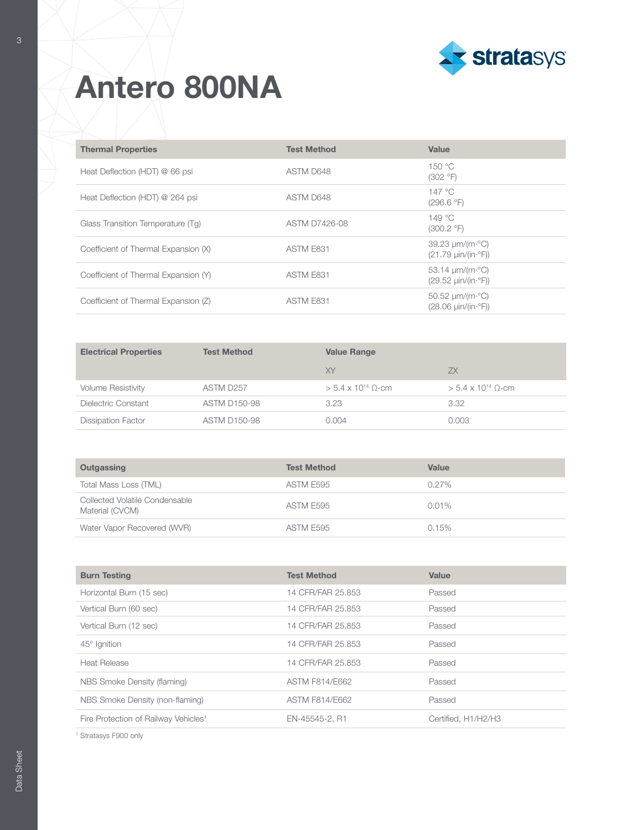

| <b>Thermal Properties</b>            | <b>Test Method</b> | Value                                                                                       |
|--------------------------------------|--------------------|---------------------------------------------------------------------------------------------|
| Heat Deflection (HDT) @ 66 psi       | ASTM D648          | 150 °C<br>(302 °F)                                                                          |
| Heat Deflection (HDT) @ 264 psi      | ASTM D648          | 147 °C<br>(296.6 °F)                                                                        |
| Glass Transition Temperature (Tq)    | ASTM D7426-08      | 149 °C<br>(300.2 °F)                                                                        |
| Coefficient of Thermal Expansion (X) | ASTM E831          | $39.23 \mu m/(m \cdot ^{\circ}C)$<br>$(21.79 \mu in/(in.°F))$                               |
| Coefficient of Thermal Expansion (Y) | ASTM E831          | 53.14 $\mu$ m/(m· $^{\circ}$ C)<br>$(29.52 \text{ min}/(\text{in} \cdot \degree \text{F}))$ |
| Coefficient of Thermal Expansion (Z) | ASTM E831          | 50.52 $\mu$ m/(m· $^{\circ}$ C)<br>$(28.06 \text{ min}/(\text{in} \cdot ^{\circ}F))$        |

| <b>Electrical Properties</b> | <b>Test Method</b>  | <b>Value Range</b>          |                             |
|------------------------------|---------------------|-----------------------------|-----------------------------|
|                              |                     | XY                          | ZX.                         |
| <b>Volume Resistivity</b>    | ASTM D257           | $> 5.4 \times 10^{14}$ O-cm | $> 5.4 \times 10^{14}$ O-cm |
| Dielectric Constant          | <b>ASTM D150-98</b> | 3.23                        | 3.32                        |
| <b>Dissipation Factor</b>    | <b>ASTM D150-98</b> | 0.004                       | 0.003                       |

| Outgassing                                        | <b>Test Method</b> | Value    |
|---------------------------------------------------|--------------------|----------|
| Total Mass Loss (TML)                             | ASTM E595          | $0.27\%$ |
| Collected Volatile Condensable<br>Material (CVCM) | ASTM E595          | 0.01%    |
| Water Vapor Recovered (WVR)                       | ASTM E595          | 0.15%    |

| <b>Burn Testing</b>                              | <b>Test Method</b> | Value               |
|--------------------------------------------------|--------------------|---------------------|
| Horizontal Burn (15 sec)                         | 14 CFR/FAR 25.853  | Passed              |
| Vertical Burn (60 sec)                           | 14 CFR/FAR 25.853  | Passed              |
| Vertical Burn (12 sec)                           | 14 CFR/FAR 25.853  | Passed              |
| $45^\circ$ Ignition                              | 14 CFR/FAR 25.853  | Passed              |
| <b>Heat Release</b>                              | 14 CFR/FAR 25.853  | Passed              |
| NBS Smoke Density (flaming)                      | ASTM F814/E662     | Passed              |
| NBS Smoke Density (non-flaming)                  | ASTM F814/E662     | Passed              |
| Fire Protection of Railway Vehicles <sup>1</sup> | EN-45545-2, R1     | Certified, H1/H2/H3 |

1 Stratasys F900 only